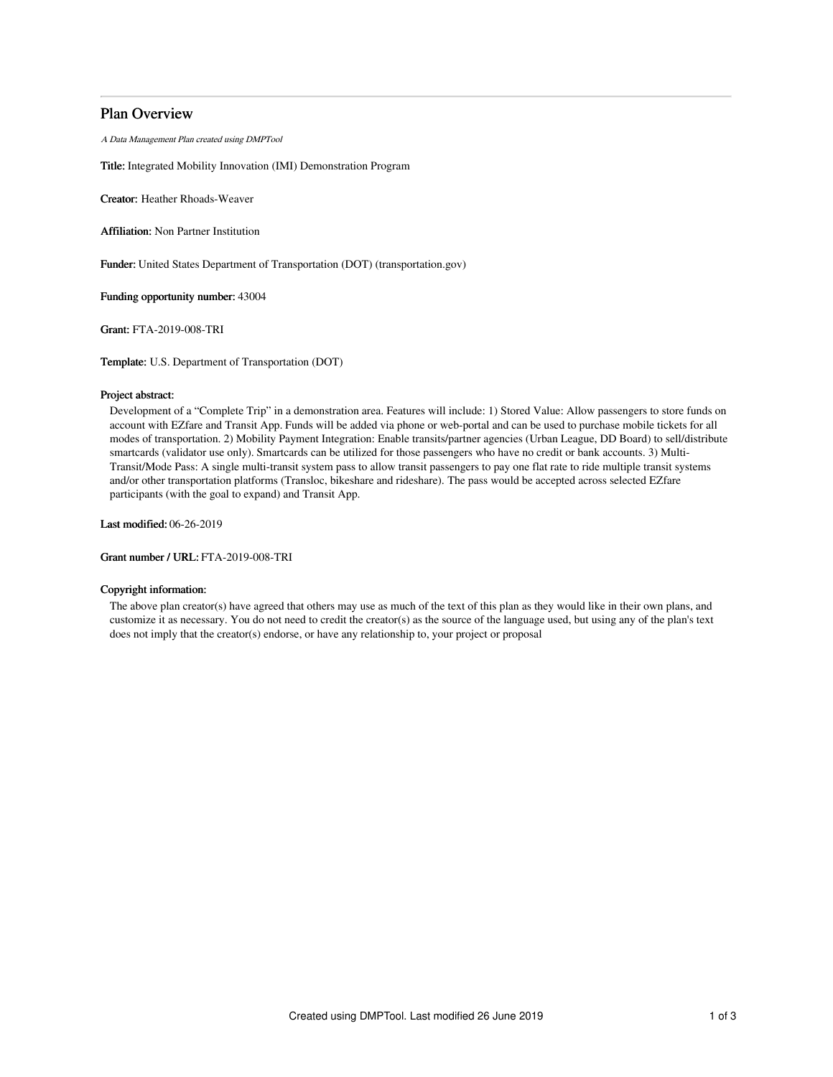# Plan Overview

A Data Management Plan created using DMPTool

Title: Integrated Mobility Innovation (IMI) Demonstration Program

Creator: Heather Rhoads-Weaver

Affiliation: Non Partner Institution

Funder: United States Department of Transportation (DOT) (transportation.gov)

Funding opportunity number: 43004

Grant: FTA-2019-008-TRI

Template: U.S. Department of Transportation (DOT)

# Project abstract:

Development of a "Complete Trip" in a demonstration area. Features will include: 1) Stored Value: Allow passengers to store funds on account with EZfare and Transit App. Funds will be added via phone or web-portal and can be used to purchase mobile tickets for all modes of transportation. 2) Mobility Payment Integration: Enable transits/partner agencies (Urban League, DD Board) to sell/distribute smartcards (validator use only). Smartcards can be utilized for those passengers who have no credit or bank accounts. 3) Multi-Transit/Mode Pass: A single multi-transit system pass to allow transit passengers to pay one flat rate to ride multiple transit systems and/or other transportation platforms (Transloc, bikeshare and rideshare). The pass would be accepted across selected EZfare participants (with the goal to expand) and Transit App.

Last modified: 06-26-2019

Grant number / URL: FTA-2019-008-TRI

# Copyright information:

The above plan creator(s) have agreed that others may use as much of the text of this plan as they would like in their own plans, and customize it as necessary. You do not need to credit the creator(s) as the source of the language used, but using any of the plan's text does not imply that the creator(s) endorse, or have any relationship to, your project or proposal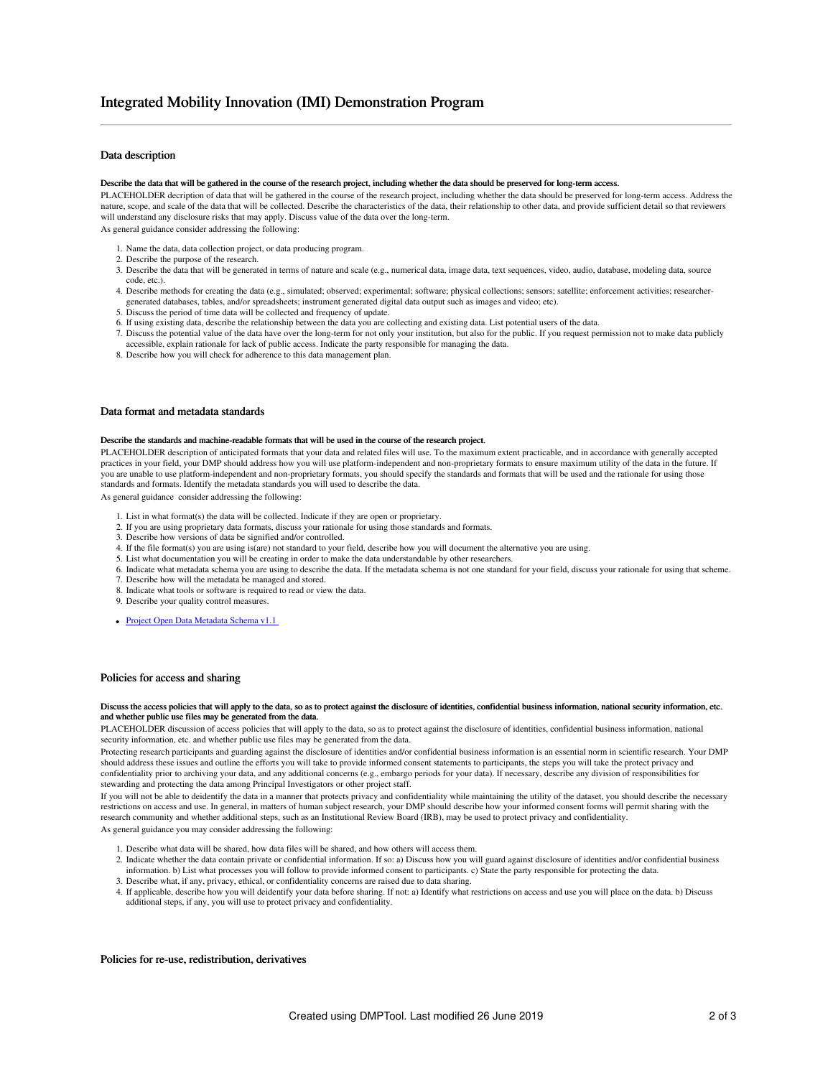## Data description

#### Describe the data that will be gathered in the course of the research project, including whether the data should be preserved for long-term access.

PLACEHOLDER decription of data that will be gathered in the course of the research project, including whether the data should be preserved for long-term access. Address the nature, scope, and scale of the data that will be collected. Describe the characteristics of the data, their relationship to other data, and provide sufficient detail so that reviewers will understand any disclosure risks that may apply. Discuss value of the data over the long-term.

As general guidance consider addressing the following:

- 1. Name the data, data collection project, or data producing program.
- 2. Describe the purpose of the research.
- 3. Describe the data that will be generated in terms of nature and scale (e.g., numerical data, image data, text sequences, video, audio, database, modeling data, source code, etc.).
- 4. Describe methods for creating the data (e.g., simulated; observed; experimental; software; physical collections; sensors; satellite; enforcement activities; researchergenerated databases, tables, and/or spreadsheets; instrument generated digital data output such as images and video; etc).
- 5. Discuss the period of time data will be collected and frequency of update.
- 6. If using existing data, describe the relationship between the data you are collecting and existing data. List potential users of the data.
- 7. Discuss the potential value of the data have over the long-term for not only your institution, but also for the public. If you request permission not to make data publicly accessible, explain rationale for lack of public access. Indicate the party responsible for managing the data.
- 8. Describe how you will check for adherence to this data management plan.

## Data format and metadata standards

#### Describe the standards and machine-readable formats that will be used in the course of the research project.

PLACEHOLDER description of anticipated formats that your data and related files will use. To the maximum extent practicable, and in accordance with generally accepted practices in your field, your DMP should address how you will use platform-independent and non-proprietary formats to ensure maximum utility of the data in the future. If you are unable to use platform-independent and non-proprietary formats, you should specify the standards and formats that will be used and the rationale for using those standards and formats. Identify the metadata standards you will used to describe the data.

As general guidance consider addressing the following:

- 1. List in what format(s) the data will be collected. Indicate if they are open or proprietary.
- 2. If you are using proprietary data formats, discuss your rationale for using those standards and formats.
- 3. Describe how versions of data be signified and/or controlled.
- 4. If the file format(s) you are using is(are) not standard to your field, describe how you will document the alternative you are using.
- 5. List what documentation you will be creating in order to make the data understandable by other researchers.
- 6. Indicate what metadata schema you are using to describe the data. If the metadata schema is not one standard for your field, discuss your rationale for using that scheme. 7. Describe how will the metadata be managed and stored.
- 8. Indicate what tools or software is required to read or view the data.
- 9. Describe your quality control measures.
- Project Open Data [Metadata](https://project-open-data.cio.gov/v1.1/schema/) Schema v1.1

#### Policies for access and sharing

#### Discuss the access policies that will apply to the data, so as to protect against the disclosure of identities, confidential business information, national security information, etc. and whether public use files may be generated from the data.

PLACEHOLDER discussion of access policies that will apply to the data, so as to protect against the disclosure of identities, confidential business information, national security information, etc. and whether public use files may be generated from the data.

Protecting research participants and guarding against the disclosure of identities and/or confidential business information is an essential norm in scientific research. Your DMP should address these issues and outline the efforts you will take to provide informed consent statements to participants, the steps you will take the protect privacy and confidentiality prior to archiving your data, and any additional concerns (e.g., embargo periods for your data). If necessary, describe any division of responsibilities for stewarding and protecting the data among Principal Investigators or other project staff.

If you will not be able to deidentify the data in a manner that protects privacy and confidentiality while maintaining the utility of the dataset, you should describe the necessary restrictions on access and use. In general, in matters of human subject research, your DMP should describe how your informed consent forms will permit sharing with the research community and whether additional steps, such as an Institutional Review Board (IRB), may be used to protect privacy and confidentiality. As general guidance you may consider addressing the following:

- 1. Describe what data will be shared, how data files will be shared, and how others will access them.
- 2. Indicate whether the data contain private or confidential information. If so: a) Discuss how you will guard against disclosure of identities and/or confidential business information. b) List what processes you will follow to provide informed consent to participants. c) State the party responsible for protecting the data. 3. Describe what, if any, privacy, ethical, or confidentiality concerns are raised due to data sharing.
- 4. If applicable, describe how you will deidentify your data before sharing. If not: a) Identify what restrictions on access and use you will place on the data. b) Discuss additional steps, if any, you will use to protect privacy and confidentiality.

#### Policies for re-use, redistribution, derivatives